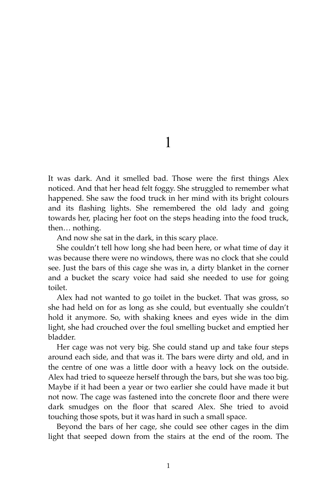1

It was dark. And it smelled bad. Those were the first things Alex noticed. And that her head felt foggy. She struggled to remember what happened. She saw the food truck in her mind with its bright colours and its flashing lights. She remembered the old lady and going towards her, placing her foot on the steps heading into the food truck, then… nothing.

And now she sat in the dark, in this scary place.

She couldn't tell how long she had been here, or what time of day it was because there were no windows, there was no clock that she could see. Just the bars of this cage she was in, a dirty blanket in the corner and a bucket the scary voice had said she needed to use for going toilet.

Alex had not wanted to go toilet in the bucket. That was gross, so she had held on for as long as she could, but eventually she couldn't hold it anymore. So, with shaking knees and eyes wide in the dim light, she had crouched over the foul smelling bucket and emptied her bladder.

Her cage was not very big. She could stand up and take four steps around each side, and that was it. The bars were dirty and old, and in the centre of one was a little door with a heavy lock on the outside. Alex had tried to squeeze herself through the bars, but she was too big. Maybe if it had been a year or two earlier she could have made it but not now. The cage was fastened into the concrete floor and there were dark smudges on the floor that scared Alex. She tried to avoid touching those spots, but it was hard in such a small space.

Beyond the bars of her cage, she could see other cages in the dim light that seeped down from the stairs at the end of the room. The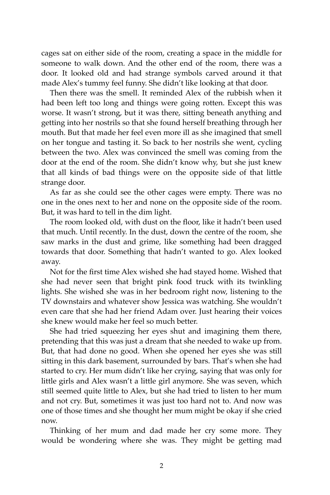cages sat on either side of the room, creating a space in the middle for someone to walk down. And the other end of the room, there was a door. It looked old and had strange symbols carved around it that made Alex's tummy feel funny. She didn't like looking at that door.

Then there was the smell. It reminded Alex of the rubbish when it had been left too long and things were going rotten. Except this was worse. It wasn't strong, but it was there, sitting beneath anything and getting into her nostrils so that she found herself breathing through her mouth. But that made her feel even more ill as she imagined that smell on her tongue and tasting it. So back to her nostrils she went, cycling between the two. Alex was convinced the smell was coming from the door at the end of the room. She didn't know why, but she just knew that all kinds of bad things were on the opposite side of that little strange door.

As far as she could see the other cages were empty. There was no one in the ones next to her and none on the opposite side of the room. But, it was hard to tell in the dim light.

The room looked old, with dust on the floor, like it hadn't been used that much. Until recently. In the dust, down the centre of the room, she saw marks in the dust and grime, like something had been dragged towards that door. Something that hadn't wanted to go. Alex looked away.

Not for the first time Alex wished she had stayed home. Wished that she had never seen that bright pink food truck with its twinkling lights. She wished she was in her bedroom right now, listening to the TV downstairs and whatever show Jessica was watching. She wouldn't even care that she had her friend Adam over. Just hearing their voices she knew would make her feel so much better.

She had tried squeezing her eyes shut and imagining them there, pretending that this was just a dream that she needed to wake up from. But, that had done no good. When she opened her eyes she was still sitting in this dark basement, surrounded by bars. That's when she had started to cry. Her mum didn't like her crying, saying that was only for little girls and Alex wasn't a little girl anymore. She was seven, which still seemed quite little to Alex, but she had tried to listen to her mum and not cry. But, sometimes it was just too hard not to. And now was one of those times and she thought her mum might be okay if she cried now.

Thinking of her mum and dad made her cry some more. They would be wondering where she was. They might be getting mad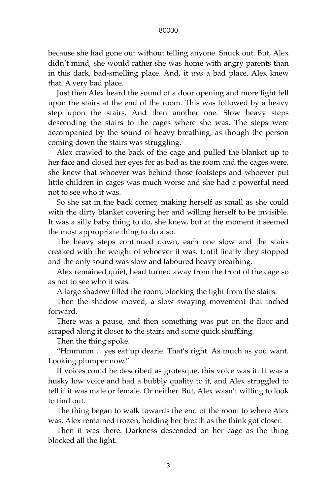## 80000

because she had gone out without telling anyone. Snuck out. But, Alex didn't mind, she would rather she was home with angry parents than in this dark, bad-smelling place. And, it *was* a bad place. Alex knew that. A very bad place.

Just then Alex heard the sound of a door opening and more light fell upon the stairs at the end of the room. This was followed by a heavy step upon the stairs. And then another one. Slow heavy steps descending the stairs to the cages where she was. The steps were accompanied by the sound of heavy breathing, as though the person coming down the stairs was struggling.

Alex crawled to the back of the cage and pulled the blanket up to her face and closed her eyes for as bad as the room and the cages were, she knew that whoever was behind those footsteps and whoever put little children in cages was much worse and she had a powerful need not to see who it was.

So she sat in the back corner, making herself as small as she could with the dirty blanket covering her and willing herself to be invisible. It was a silly baby thing to do, she knew, but at the moment it seemed the most appropriate thing to do also.

The heavy steps continued down, each one slow and the stairs creaked with the weight of whoever it was. Until finally they stopped and the only sound was slow and laboured heavy breathing.

Alex remained quiet, head turned away from the front of the cage so as not to see who it was.

A large shadow filled the room, blocking the light from the stairs.

Then the shadow moved, a slow swaying movement that inched forward.

There was a pause, and then something was put on the floor and scraped along it closer to the stairs and some quick shuffling.

Then the thing spoke.

"Hmmmm… yes eat up dearie. That's right. As much as you want. Looking plumper now."

If voices could be described as grotesque, this voice was it. It was a husky low voice and had a bubbly quality to it, and Alex struggled to tell if it was male or female. Or neither. But, Alex wasn't willing to look to find out.

The thing began to walk towards the end of the room to where Alex was. Alex remained frozen, holding her breath as the think got closer.

Then it was there. Darkness descended on her cage as the thing blocked all the light.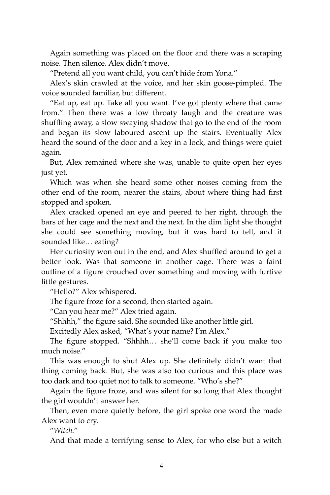Again something was placed on the floor and there was a scraping noise. Then silence. Alex didn't move.

"Pretend all you want child, you can't hide from Yona."

Alex's skin crawled at the voice, and her skin goose-pimpled. The voice sounded familiar, but different.

"Eat up, eat up. Take all you want. I've got plenty where that came from." Then there was a low throaty laugh and the creature was shuffling away, a slow swaying shadow that go to the end of the room and began its slow laboured ascent up the stairs. Eventually Alex heard the sound of the door and a key in a lock, and things were quiet again.

But, Alex remained where she was, unable to quite open her eyes just yet.

Which was when she heard some other noises coming from the other end of the room, nearer the stairs, about where thing had first stopped and spoken.

Alex cracked opened an eye and peered to her right, through the bars of her cage and the next and the next. In the dim light she thought she could see something moving, but it was hard to tell, and it sounded like… eating?

Her curiosity won out in the end, and Alex shuffled around to get a better look. Was that someone in another cage. There was a faint outline of a figure crouched over something and moving with furtive little gestures.

"Hello?" Alex whispered.

The figure froze for a second, then started again.

"Can you hear me?" Alex tried again.

"Shhhh," the figure said. She sounded like another little girl.

Excitedly Alex asked, "What's your name? I'm Alex."

The figure stopped. "Shhhh… she'll come back if you make too much noise."

This was enough to shut Alex up. She definitely didn't want that thing coming back. But, she was also too curious and this place was too dark and too quiet not to talk to someone. "Who's she?"

Again the figure froze, and was silent for so long that Alex thought the girl wouldn't answer her.

Then, even more quietly before, the girl spoke one word the made Alex want to cry.

"*Witch.*"

And that made a terrifying sense to Alex, for who else but a witch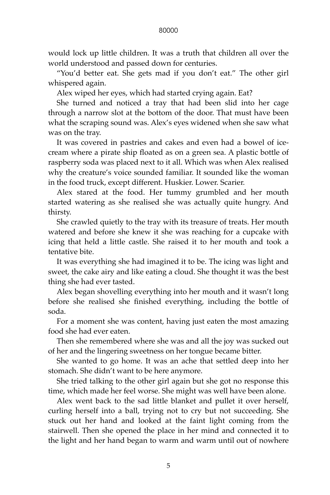## 80000

would lock up little children. It was a truth that children all over the world understood and passed down for centuries.

"You'd better eat. She gets mad if you don't eat." The other girl whispered again.

Alex wiped her eyes, which had started crying again. Eat?

She turned and noticed a tray that had been slid into her cage through a narrow slot at the bottom of the door. That must have been what the scraping sound was. Alex's eyes widened when she saw what was on the tray.

It was covered in pastries and cakes and even had a bowel of icecream where a pirate ship floated as on a green sea. A plastic bottle of raspberry soda was placed next to it all. Which was when Alex realised why the creature's voice sounded familiar. It sounded like the woman in the food truck, except different. Huskier. Lower. Scarier.

Alex stared at the food. Her tummy grumbled and her mouth started watering as she realised she was actually quite hungry. And thirsty.

She crawled quietly to the tray with its treasure of treats. Her mouth watered and before she knew it she was reaching for a cupcake with icing that held a little castle. She raised it to her mouth and took a tentative bite.

It was everything she had imagined it to be. The icing was light and sweet, the cake airy and like eating a cloud. She thought it was the best thing she had ever tasted.

Alex began shovelling everything into her mouth and it wasn't long before she realised she finished everything, including the bottle of soda.

For a moment she was content, having just eaten the most amazing food she had ever eaten.

Then she remembered where she was and all the joy was sucked out of her and the lingering sweetness on her tongue became bitter.

She wanted to go home. It was an ache that settled deep into her stomach. She didn't want to be here anymore.

She tried talking to the other girl again but she got no response this time, which made her feel worse. She might was well have been alone.

Alex went back to the sad little blanket and pullet it over herself, curling herself into a ball, trying not to cry but not succeeding. She stuck out her hand and looked at the faint light coming from the stairwell. Then she opened the place in her mind and connected it to the light and her hand began to warm and warm until out of nowhere